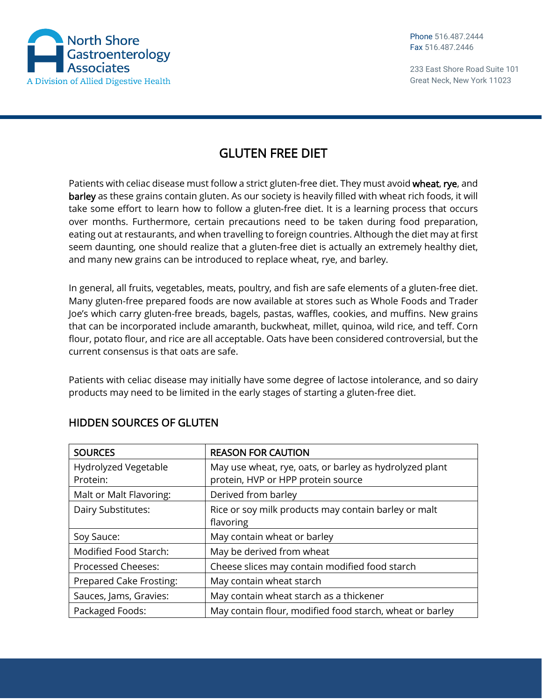

Phone 516.487.2444 Fax 516.487.2446

233 East Shore Road Suite 101 Great Neck, New York 11023

## GLUTEN FREE DIET

Patients with celiac disease must follow a strict gluten-free diet. They must avoid wheat, rye, and barley as these grains contain gluten. As our society is heavily filled with wheat rich foods, it will take some effort to learn how to follow a gluten-free diet. It is a learning process that occurs over months. Furthermore, certain precautions need to be taken during food preparation, eating out at restaurants, and when travelling to foreign countries. Although the diet may at first seem daunting, one should realize that a gluten-free diet is actually an extremely healthy diet, and many new grains can be introduced to replace wheat, rye, and barley.

In general, all fruits, vegetables, meats, poultry, and fish are safe elements of a gluten-free diet. Many gluten-free prepared foods are now available at stores such as Whole Foods and Trader Joe's which carry gluten-free breads, bagels, pastas, waffles, cookies, and muffins. New grains that can be incorporated include amaranth, buckwheat, millet, quinoa, wild rice, and teff. Corn flour, potato flour, and rice are all acceptable. Oats have been considered controversial, but the current consensus is that oats are safe.

Patients with celiac disease may initially have some degree of lactose intolerance, and so dairy products may need to be limited in the early stages of starting a gluten-free diet.

| <b>SOURCES</b>                   | <b>REASON FOR CAUTION</b>                                                                     |
|----------------------------------|-----------------------------------------------------------------------------------------------|
| Hydrolyzed Vegetable<br>Protein: | May use wheat, rye, oats, or barley as hydrolyzed plant<br>protein, HVP or HPP protein source |
| Malt or Malt Flavoring:          | Derived from barley                                                                           |
| Dairy Substitutes:               | Rice or soy milk products may contain barley or malt<br>flavoring                             |
| Soy Sauce:                       | May contain wheat or barley                                                                   |
| Modified Food Starch:            | May be derived from wheat                                                                     |
| <b>Processed Cheeses:</b>        | Cheese slices may contain modified food starch                                                |
| Prepared Cake Frosting:          | May contain wheat starch                                                                      |
| Sauces, Jams, Gravies:           | May contain wheat starch as a thickener                                                       |
| Packaged Foods:                  | May contain flour, modified food starch, wheat or barley                                      |

## HIDDEN SOURCES OF GLUTEN